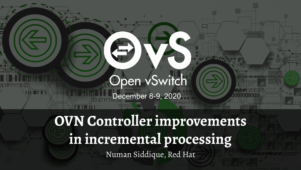# Open vSwitch

December 8-9, 2020

**OVN Controller improvements in incremental processing**

Numan Siddique, Red Hat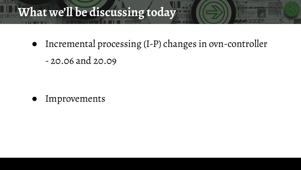### **What we'll be discussing today**

- Incremental processing (I-P) changes in ovn-controller
	- 20.06 and 20.09

Improvements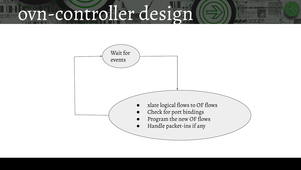## ovn-controller design

<u> Hill bell</u>

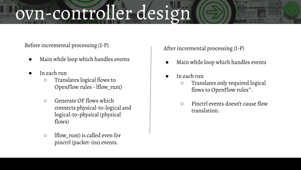## ovn-controller design

Before incremental processing (I-P)

- Main while loop which handles events
- In each run

<u> HIMIDA II</u>

- Translates logical flows to OpenFlow rules - lflow\_run()
- Generate OF flows which connects physical-to-logical and logical-to-physical (physical flows)
- $\circ$  lflow run() is called even for pinctrl (packet-ins) events.

After incremental processing (I-P)

- Main while loop which handles events
- In each run
	- Translates only required logical flows to OpenFlow rules\*.
	- Pinctrl events doesn't cause flow translation.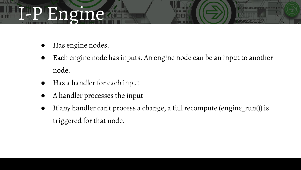## I-P Engine

- Has engine nodes.
- Each engine node has inputs. An engine node can be an input to another node.
- Has a handler for each input
- A handler processes the input
- If any handler can't process a change, a full recompute (engine\_run()) is triggered for that node.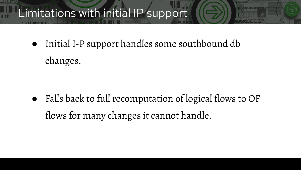### Limitations with initial IP support

● Initial I-P support handles some southbound db changes.

● Falls back to full recomputation of logical flows to OF flows for many changes it cannot handle.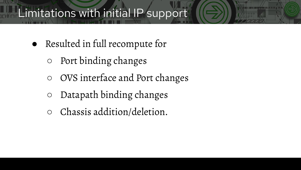### Limitations with initial IP support

- Resulted in full recompute for
	- Port binding changes
	- OVS interface and Port changes
	- Datapath binding changes
	- Chassis addition/deletion.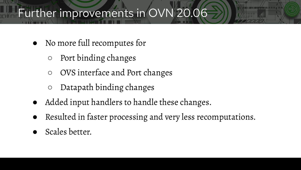### Further improvements in OVN 20.06

- No more full recomputes for
	- Port binding changes
	- OVS interface and Port changes
	- Datapath binding changes
- Added input handlers to handle these changes.
- Resulted in faster processing and very less recomputations.
- Scales better.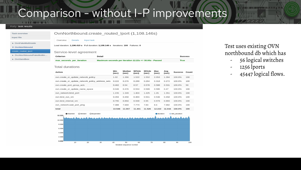### Comparison - without I-P improvements

### Rally task results

### **Task overview**

### Input file

<u> Hillian Sill</u>

Service-level agreement

### $\triangleright$  OvnFakeMultinode

**v** OvnNorthbound

### create routed lport

▶ OvnNorthboundFakeMultin...

 $\triangleright$  OvnSandbox

Load duration: 1,106.410 s Full duration: 1,108.146 s Iterations: 100 Failures: 0

OvnNorthbound.create routed lport (1,108.146s)

### Overview **Details** Input task

| Criterion                                        | <b>Detail</b> | <b>Success</b>                                          |                 |                 |                 |              |              |                |             |  |  |
|--------------------------------------------------|---------------|---------------------------------------------------------|-----------------|-----------------|-----------------|--------------|--------------|----------------|-------------|--|--|
| max seconds per iteration                        |               | Maximum seconds per iteration 12.22s <= 30.00s - Passed |                 |                 |                 |              |              |                | <b>True</b> |  |  |
| <b>Total durations</b>                           |               |                                                         |                 |                 |                 |              |              |                |             |  |  |
| <b>Action</b>                                    |               | Min<br>(sec)                                            | Median<br>(sec) | 90%ile<br>(sec) | 95%ile<br>(sec) | Max<br>(sec) | Avq<br>(sec) | <b>Success</b> | Count       |  |  |
| ovn.create or update network policy              |               | 1.02                                                    | 1.266           | 1.522           | 1.552           | 2.053        | 1.284        | 100.0%         | 100         |  |  |
| ovn.create or update network policy address sets |               | 0.222                                                   | 0.276           | 0.289           | 0.294           | 0.318        | 0.272        | 100.0%         | 100         |  |  |
| ovn.create port group acls                       |               | 0.462                                                   | 0.54            | 0.57            | 0.576           | 0.588        | 0.531        | 100.0%         | 50          |  |  |
| ovn.create or update name space                  |               | 0.346                                                   | 0.476           | 0.554           | 0.569           | 0.595        | 0.47         | 100.0%         | 100         |  |  |
| ovn network.bind port                            |               | 1.235                                                   | 1.349           | 1.404           | 1.425           | 1.45         | 1.351        | 100.0%         | 100         |  |  |
| ovn.bind ovs vm                                  |               | 0.394                                                   | 0.458           | 0.494           | 0.501           | 0.536        | 0.458        | 100.0%         | 100         |  |  |
| ovn.bind internal vm                             |               | 0.795                                                   | 0.894           | 0.938           | 0.95            | 0.978        | 0.893        | 100.0%         | 100         |  |  |
| ovn network.wait port ping                       |               | 7.388                                                   | 7.669           | 7.774           | 7.83            | 8.6          | 7.682        | 100.0%         | 100         |  |  |
| total                                            |               | 10.546                                                  | 11.007          | 11.401          | 11.526          | 12,222       | 11.044       | 100.0%         | 100         |  |  |
|                                                  |               |                                                         |                 |                 |                 |              |              |                |             |  |  |



Test uses existing OVN northbound db which has

**Barbara** 

- 56 logical switches
- 1256 lports
- 45447 logical flows.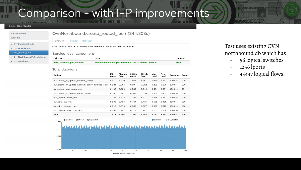### Comparison - with I-P improvements

### Rally task results

### Task overview

### **Input file**

**THE REAL** 

Overview **Details** Input task

- $\triangleright$  OvnFakeMultinode
- ▼ OvnNorthbound

### create routed lport  $\triangleright$  OvnNorthb

 $\triangleright$  OvnSandb

### Service-level agreement

| oundFakeMultin | Criterion                 | <b>Detail</b>                                          | <b>Success</b> |
|----------------|---------------------------|--------------------------------------------------------|----------------|
| XO             | max seconds per iteration | Maximum seconds per iteration 4.18s <= 30.00s - Passed | True           |

OvnNorthbound.create routed lport (344.808s)

Load duration: 343.190 s Full duration: 344.808 s Iterations: 100 Failures: 0

### **Total durations**

| <b>Action</b>                                    | Min<br>(sec) | Median<br>(sec) | 90%ile<br>(sec) | 95%ile<br>(sec) | Max<br>(sec) | Avq<br>(sec) | <b>Success</b> | Count |
|--------------------------------------------------|--------------|-----------------|-----------------|-----------------|--------------|--------------|----------------|-------|
| ovn.create or update network policy              | 0.97         | 1.229           | 1.451           | 1.46            | 1.944        | 1.24         | 100.0%         | 100   |
| ovn.create or update network policy address sets | 0.224        | 0.267           | 0.28            | 0.282           | 0.291        | 0.266        | 100.0%         | 100   |
| ovn.create port group acls                       | 0.462        | 0.526           | 0.539           | 0.544           | 0.564        | 0.52         | 100.0%         | 50    |
| ovn.create or update name space                  | 0.33         | 0.467           | 0.549           | 0.556           | 0.562        | 0.463        | 100.0%         | 100   |
| ovn network, bind port                           | 1.231        | 1.313           | 1.386           | 1.4             | 1.446        | 1.317        | 100.0%         | 100   |
| ovn.bind ovs vm                                  | 0.392        | 0.436           | 0.464           | 0.475           | 0.502        | 0.438        | 100.0%         | 100   |
| ovn.bind internal vm                             | 0.816        | 0.876           | 0.936           | 0.967           | 0.997        | 0.879        | 100.0%         | 100   |
| ovn network.wait_port_ping                       | 0.097        | 0.141           | 0.177           | 0.18            | 0.203        | 0.136        | 100.0%         | 100   |
| total                                            | 2.977        | 3.406           | 3.709           | 3.748           | 4.181        | 3.411        | 100.0%         | 100   |



Test uses existing OVN northbound db which has

**The Contract of the Contract of the Contract of the Contract of the Contract of the Contract of the Contract o** 

- 56 logical switches
- 1256 lports
- 45447 logical flows.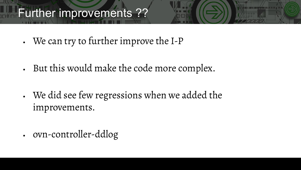### Further improvements ??

- We can try to further improve the I-P
- But this would make the code more complex.
- We did see few regressions when we added the improvements.
- ovn-controller-ddlog